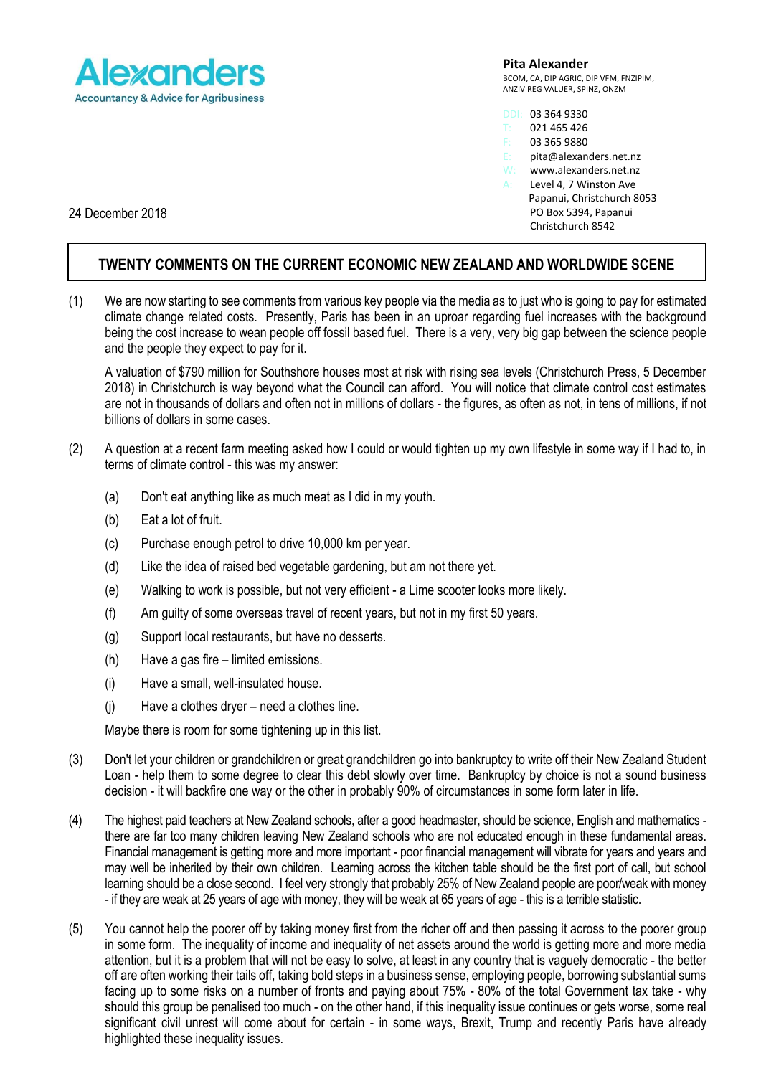

## **Pita Alexander**

BCOM, CA, DIP AGRIC, DIP VFM, FNZIPIM, ANZIV REG VALUER, SPINZ, ONZM

- DDI: 03 364 9330
- 021 465 426 03 365 9880
- 
- E: pita@alexanders.net.nz<br>W: www.alexanders.net.nz
- W: www.alexanders.net.nz<br>A: Level 4. 7 Winston Ave Level 4, 7 Winston Ave Papanui, Christchurch 8053 PO Box 5394, Papanui Christchurch 8542

24 December 2018

## **TWENTY COMMENTS ON THE CURRENT ECONOMIC NEW ZEALAND AND WORLDWIDE SCENE**

(1) We are now starting to see comments from various key people via the media as to just who is going to pay for estimated climate change related costs. Presently, Paris has been in an uproar regarding fuel increases with the background being the cost increase to wean people off fossil based fuel. There is a very, very big gap between the science people and the people they expect to pay for it.

A valuation of \$790 million for Southshore houses most at risk with rising sea levels (Christchurch Press, 5 December 2018) in Christchurch is way beyond what the Council can afford. You will notice that climate control cost estimates are not in thousands of dollars and often not in millions of dollars - the figures, as often as not, in tens of millions, if not billions of dollars in some cases.

- (2) A question at a recent farm meeting asked how I could or would tighten up my own lifestyle in some way if I had to, in terms of climate control - this was my answer:
	- (a) Don't eat anything like as much meat as I did in my youth.
	- (b) Eat a lot of fruit.
	- (c) Purchase enough petrol to drive 10,000 km per year.
	- (d) Like the idea of raised bed vegetable gardening, but am not there yet.
	- (e) Walking to work is possible, but not very efficient a Lime scooter looks more likely.
	- (f) Am guilty of some overseas travel of recent years, but not in my first 50 years.
	- (g) Support local restaurants, but have no desserts.
	- (h) Have a gas fire limited emissions.
	- (i) Have a small, well-insulated house.
	- (j) Have a clothes dryer need a clothes line.

Maybe there is room for some tightening up in this list.

- (3) Don't let your children or grandchildren or great grandchildren go into bankruptcy to write off their New Zealand Student Loan - help them to some degree to clear this debt slowly over time. Bankruptcy by choice is not a sound business decision - it will backfire one way or the other in probably 90% of circumstances in some form later in life.
- (4) The highest paid teachers at New Zealand schools, after a good headmaster, should be science, English and mathematics there are far too many children leaving New Zealand schools who are not educated enough in these fundamental areas. Financial management is getting more and more important - poor financial management will vibrate for years and years and may well be inherited by their own children. Learning across the kitchen table should be the first port of call, but school learning should be a close second. I feel very strongly that probably 25% of New Zealand people are poor/weak with money - if they are weak at 25 years of age with money, they will be weak at 65 years of age - this is a terrible statistic.
- (5) You cannot help the poorer off by taking money first from the richer off and then passing it across to the poorer group in some form. The inequality of income and inequality of net assets around the world is getting more and more media attention, but it is a problem that will not be easy to solve, at least in any country that is vaguely democratic - the better off are often working their tails off, taking bold steps in a business sense, employing people, borrowing substantial sums facing up to some risks on a number of fronts and paying about 75% - 80% of the total Government tax take - why should this group be penalised too much - on the other hand, if this inequality issue continues or gets worse, some real significant civil unrest will come about for certain - in some ways, Brexit, Trump and recently Paris have already highlighted these inequality issues.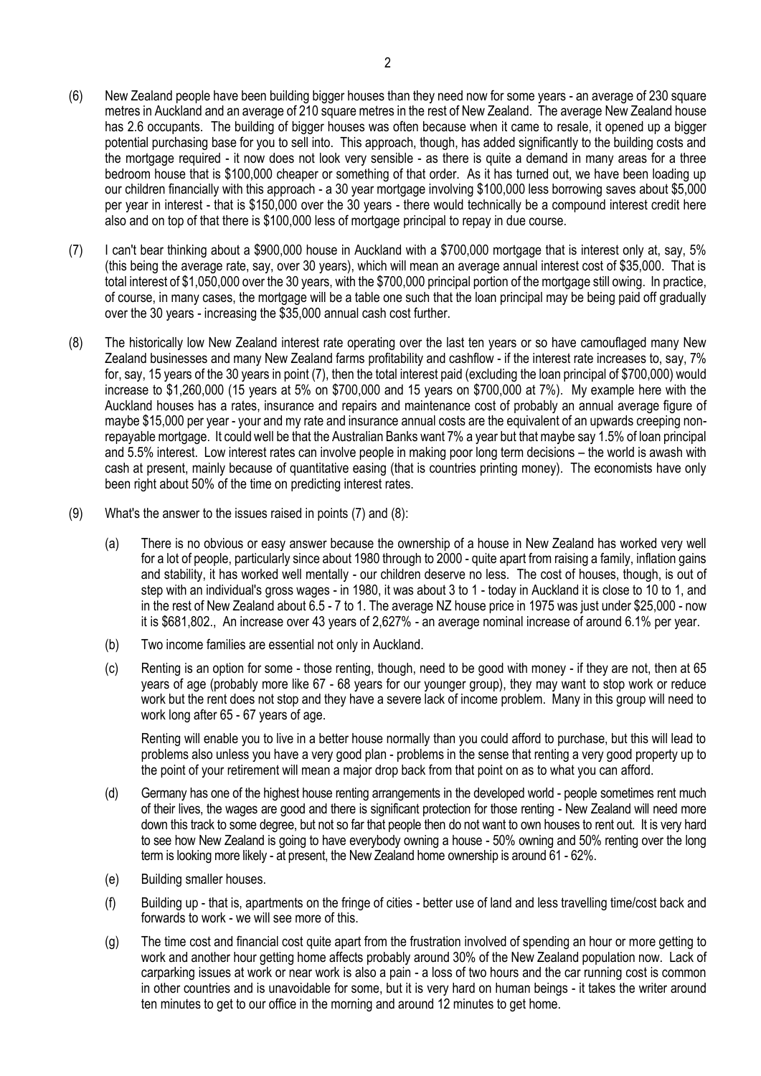- (6) New Zealand people have been building bigger houses than they need now for some years an average of 230 square metres in Auckland and an average of 210 square metres in the rest of New Zealand. The average New Zealand house has 2.6 occupants. The building of bigger houses was often because when it came to resale, it opened up a bigger potential purchasing base for you to sell into. This approach, though, has added significantly to the building costs and the mortgage required - it now does not look very sensible - as there is quite a demand in many areas for a three bedroom house that is \$100,000 cheaper or something of that order. As it has turned out, we have been loading up our children financially with this approach - a 30 year mortgage involving \$100,000 less borrowing saves about \$5,000 per year in interest - that is \$150,000 over the 30 years - there would technically be a compound interest credit here also and on top of that there is \$100,000 less of mortgage principal to repay in due course.
- (7) I can't bear thinking about a \$900,000 house in Auckland with a \$700,000 mortgage that is interest only at, say, 5% (this being the average rate, say, over 30 years), which will mean an average annual interest cost of \$35,000. That is total interest of \$1,050,000 over the 30 years, with the \$700,000 principal portion of the mortgage still owing. In practice, of course, in many cases, the mortgage will be a table one such that the loan principal may be being paid off gradually over the 30 years - increasing the \$35,000 annual cash cost further.
- (8) The historically low New Zealand interest rate operating over the last ten years or so have camouflaged many New Zealand businesses and many New Zealand farms profitability and cashflow - if the interest rate increases to, say, 7% for, say, 15 years of the 30 years in point (7), then the total interest paid (excluding the loan principal of \$700,000) would increase to \$1,260,000 (15 years at 5% on \$700,000 and 15 years on \$700,000 at 7%). My example here with the Auckland houses has a rates, insurance and repairs and maintenance cost of probably an annual average figure of maybe \$15,000 per year - your and my rate and insurance annual costs are the equivalent of an upwards creeping nonrepayable mortgage. It could well be that the Australian Banks want 7% a year but that maybe say 1.5% of loan principal and 5.5% interest. Low interest rates can involve people in making poor long term decisions – the world is awash with cash at present, mainly because of quantitative easing (that is countries printing money). The economists have only been right about 50% of the time on predicting interest rates.
- (9) What's the answer to the issues raised in points (7) and (8):
	- (a) There is no obvious or easy answer because the ownership of a house in New Zealand has worked very well for a lot of people, particularly since about 1980 through to 2000 - quite apart from raising a family, inflation gains and stability, it has worked well mentally - our children deserve no less. The cost of houses, though, is out of step with an individual's gross wages - in 1980, it was about 3 to 1 - today in Auckland it is close to 10 to 1, and in the rest of New Zealand about 6.5 - 7 to 1. The average NZ house price in 1975 was just under \$25,000 - now it is \$681,802., An increase over 43 years of 2,627% - an average nominal increase of around 6.1% per year.
	- (b) Two income families are essential not only in Auckland.
	- (c) Renting is an option for some those renting, though, need to be good with money if they are not, then at 65 years of age (probably more like 67 - 68 years for our younger group), they may want to stop work or reduce work but the rent does not stop and they have a severe lack of income problem. Many in this group will need to work long after 65 - 67 years of age.

Renting will enable you to live in a better house normally than you could afford to purchase, but this will lead to problems also unless you have a very good plan - problems in the sense that renting a very good property up to the point of your retirement will mean a major drop back from that point on as to what you can afford.

- (d) Germany has one of the highest house renting arrangements in the developed world people sometimes rent much of their lives, the wages are good and there is significant protection for those renting - New Zealand will need more down this track to some degree, but not so far that people then do not want to own houses to rent out. It is very hard to see how New Zealand is going to have everybody owning a house - 50% owning and 50% renting over the long term is looking more likely - at present, the New Zealand home ownership is around 61 - 62%.
- (e) Building smaller houses.
- (f) Building up that is, apartments on the fringe of cities better use of land and less travelling time/cost back and forwards to work - we will see more of this.
- (g) The time cost and financial cost quite apart from the frustration involved of spending an hour or more getting to work and another hour getting home affects probably around 30% of the New Zealand population now. Lack of carparking issues at work or near work is also a pain - a loss of two hours and the car running cost is common in other countries and is unavoidable for some, but it is very hard on human beings - it takes the writer around ten minutes to get to our office in the morning and around 12 minutes to get home.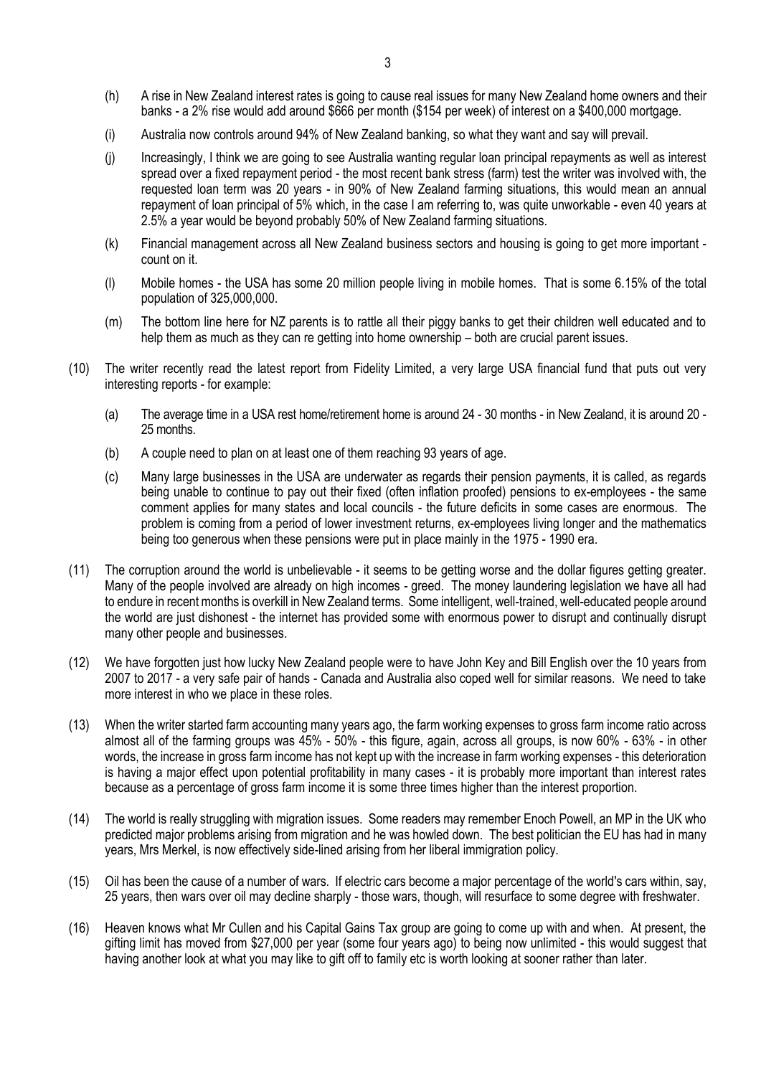- (h) A rise in New Zealand interest rates is going to cause real issues for many New Zealand home owners and their banks - a 2% rise would add around \$666 per month (\$154 per week) of interest on a \$400,000 mortgage.
- (i) Australia now controls around 94% of New Zealand banking, so what they want and say will prevail.
- (j) Increasingly, I think we are going to see Australia wanting regular loan principal repayments as well as interest spread over a fixed repayment period - the most recent bank stress (farm) test the writer was involved with, the requested loan term was 20 years - in 90% of New Zealand farming situations, this would mean an annual repayment of loan principal of 5% which, in the case I am referring to, was quite unworkable - even 40 years at 2.5% a year would be beyond probably 50% of New Zealand farming situations.
- (k) Financial management across all New Zealand business sectors and housing is going to get more important count on it.
- (l) Mobile homes the USA has some 20 million people living in mobile homes. That is some 6.15% of the total population of 325,000,000.
- (m) The bottom line here for NZ parents is to rattle all their piggy banks to get their children well educated and to help them as much as they can re getting into home ownership – both are crucial parent issues.
- (10) The writer recently read the latest report from Fidelity Limited, a very large USA financial fund that puts out very interesting reports - for example:
	- (a) The average time in a USA rest home/retirement home is around 24 30 months in New Zealand, it is around 20 25 months.
	- (b) A couple need to plan on at least one of them reaching 93 years of age.
	- (c) Many large businesses in the USA are underwater as regards their pension payments, it is called, as regards being unable to continue to pay out their fixed (often inflation proofed) pensions to ex-employees - the same comment applies for many states and local councils - the future deficits in some cases are enormous. The problem is coming from a period of lower investment returns, ex-employees living longer and the mathematics being too generous when these pensions were put in place mainly in the 1975 - 1990 era.
- (11) The corruption around the world is unbelievable it seems to be getting worse and the dollar figures getting greater. Many of the people involved are already on high incomes - greed. The money laundering legislation we have all had to endure in recent months is overkill in New Zealand terms. Some intelligent, well-trained, well-educated people around the world are just dishonest - the internet has provided some with enormous power to disrupt and continually disrupt many other people and businesses.
- (12) We have forgotten just how lucky New Zealand people were to have John Key and Bill English over the 10 years from 2007 to 2017 - a very safe pair of hands - Canada and Australia also coped well for similar reasons. We need to take more interest in who we place in these roles.
- (13) When the writer started farm accounting many years ago, the farm working expenses to gross farm income ratio across almost all of the farming groups was 45% - 50% - this figure, again, across all groups, is now 60% - 63% - in other words, the increase in gross farm income has not kept up with the increase in farm working expenses - this deterioration is having a major effect upon potential profitability in many cases - it is probably more important than interest rates because as a percentage of gross farm income it is some three times higher than the interest proportion.
- (14) The world is really struggling with migration issues. Some readers may remember Enoch Powell, an MP in the UK who predicted major problems arising from migration and he was howled down. The best politician the EU has had in many years, Mrs Merkel, is now effectively side-lined arising from her liberal immigration policy.
- (15) Oil has been the cause of a number of wars. If electric cars become a major percentage of the world's cars within, say, 25 years, then wars over oil may decline sharply - those wars, though, will resurface to some degree with freshwater.
- (16) Heaven knows what Mr Cullen and his Capital Gains Tax group are going to come up with and when. At present, the gifting limit has moved from \$27,000 per year (some four years ago) to being now unlimited - this would suggest that having another look at what you may like to gift off to family etc is worth looking at sooner rather than later.